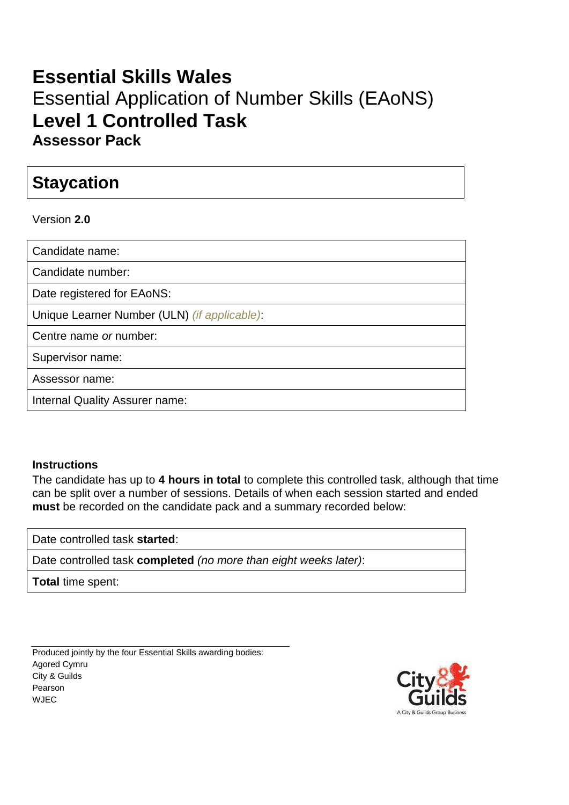## **Essential Skills Wales** Essential Application of Number Skills (EAoNS) **Level 1 Controlled Task Assessor Pack**

### **Staycation**

Version **2.0**

| Candidate name:                              |
|----------------------------------------------|
| Candidate number:                            |
| Date registered for EAoNS:                   |
| Unique Learner Number (ULN) (if applicable): |
| Centre name or number:                       |
| Supervisor name:                             |
| Assessor name:                               |
| Internal Quality Assurer name:               |
|                                              |

#### **Instructions**

The candidate has up to **4 hours in total** to complete this controlled task, although that time can be split over a number of sessions. Details of when each session started and ended **must** be recorded on the candidate pack and a summary recorded below:

Date controlled task **started**:

Date controlled task **completed** *(no more than eight weeks later)*:

**Total** time spent:

Produced jointly by the four Essential Skills awarding bodies: Agored Cymru City & Guilds Pearson WJEC

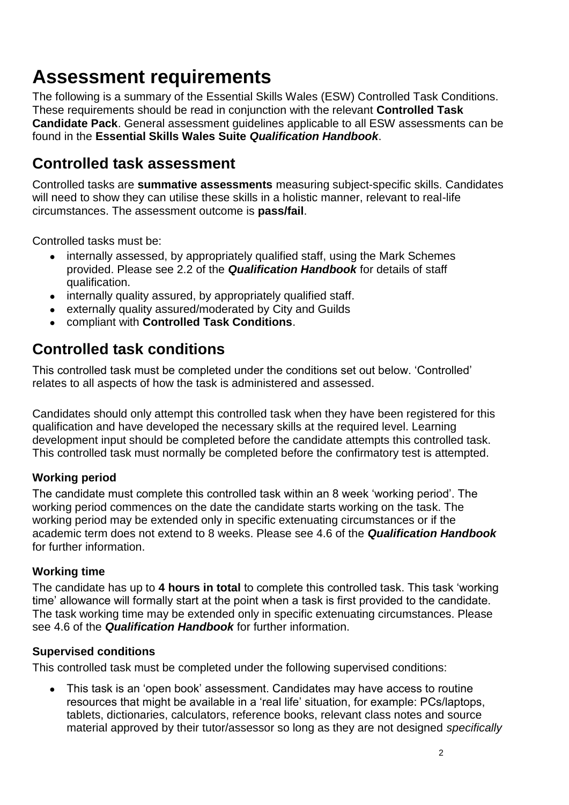# **Assessment requirements**

The following is a summary of the Essential Skills Wales (ESW) Controlled Task Conditions. These requirements should be read in conjunction with the relevant **Controlled Task Candidate Pack**. General assessment guidelines applicable to all ESW assessments can be found in the **Essential Skills Wales Suite** *Qualification Handbook*.

### **Controlled task assessment**

Controlled tasks are **summative assessments** measuring subject-specific skills. Candidates will need to show they can utilise these skills in a holistic manner, relevant to real-life circumstances. The assessment outcome is **pass/fail**.

Controlled tasks must be:

- internally assessed, by appropriately qualified staff, using the Mark Schemes provided. Please see 2.2 of the *Qualification Handbook* for details of staff qualification.
- internally quality assured, by appropriately qualified staff.
- externally quality assured/moderated by City and Guilds
- compliant with **Controlled Task Conditions**.

### **Controlled task conditions**

This controlled task must be completed under the conditions set out below. 'Controlled' relates to all aspects of how the task is administered and assessed.

Candidates should only attempt this controlled task when they have been registered for this qualification and have developed the necessary skills at the required level. Learning development input should be completed before the candidate attempts this controlled task. This controlled task must normally be completed before the confirmatory test is attempted.

#### **Working period**

The candidate must complete this controlled task within an 8 week 'working period'. The working period commences on the date the candidate starts working on the task. The working period may be extended only in specific extenuating circumstances or if the academic term does not extend to 8 weeks. Please see 4.6 of the *Qualification Handbook* for further information.

#### **Working time**

The candidate has up to **4 hours in total** to complete this controlled task. This task 'working time' allowance will formally start at the point when a task is first provided to the candidate. The task working time may be extended only in specific extenuating circumstances. Please see 4.6 of the *Qualification Handbook* for further information.

#### **Supervised conditions**

This controlled task must be completed under the following supervised conditions:

● This task is an 'open book' assessment. Candidates may have access to routine resources that might be available in a 'real life' situation, for example: PCs/laptops, tablets, dictionaries, calculators, reference books, relevant class notes and source material approved by their tutor/assessor so long as they are not designed *specifically*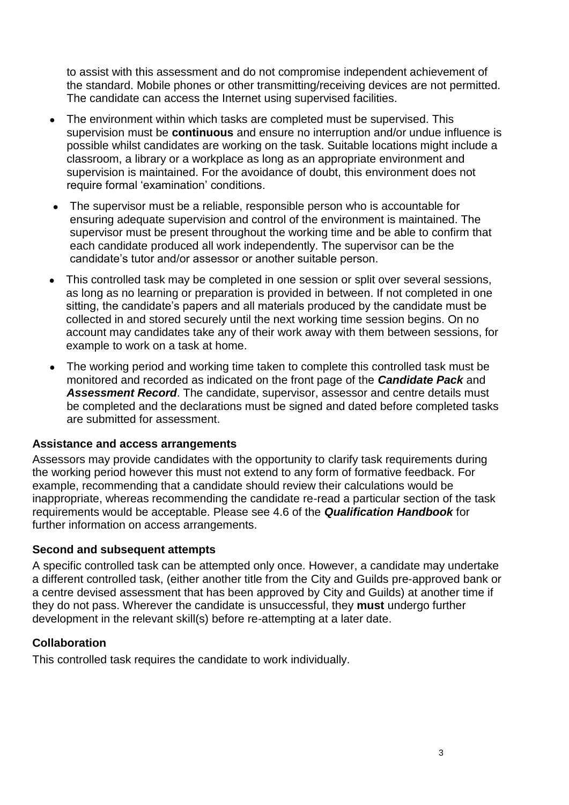to assist with this assessment and do not compromise independent achievement of the standard. Mobile phones or other transmitting/receiving devices are not permitted. The candidate can access the Internet using supervised facilities.

- The environment within which tasks are completed must be supervised. This supervision must be **continuous** and ensure no interruption and/or undue influence is possible whilst candidates are working on the task. Suitable locations might include a classroom, a library or a workplace as long as an appropriate environment and supervision is maintained. For the avoidance of doubt, this environment does not require formal 'examination' conditions.
- The supervisor must be a reliable, responsible person who is accountable for ensuring adequate supervision and control of the environment is maintained. The supervisor must be present throughout the working time and be able to confirm that each candidate produced all work independently. The supervisor can be the candidate's tutor and/or assessor or another suitable person.
- This controlled task may be completed in one session or split over several sessions, as long as no learning or preparation is provided in between. If not completed in one sitting, the candidate's papers and all materials produced by the candidate must be collected in and stored securely until the next working time session begins. On no account may candidates take any of their work away with them between sessions, for example to work on a task at home.
- The working period and working time taken to complete this controlled task must be monitored and recorded as indicated on the front page of the *Candidate Pack* and *Assessment Record*. The candidate, supervisor, assessor and centre details must be completed and the declarations must be signed and dated before completed tasks are submitted for assessment.

#### **Assistance and access arrangements**

Assessors may provide candidates with the opportunity to clarify task requirements during the working period however this must not extend to any form of formative feedback. For example, recommending that a candidate should review their calculations would be inappropriate, whereas recommending the candidate re-read a particular section of the task requirements would be acceptable. Please see 4.6 of the *Qualification Handbook* for further information on access arrangements.

#### **Second and subsequent attempts**

A specific controlled task can be attempted only once. However, a candidate may undertake a different controlled task, (either another title from the City and Guilds pre-approved bank or a centre devised assessment that has been approved by City and Guilds) at another time if they do not pass. Wherever the candidate is unsuccessful, they **must** undergo further development in the relevant skill(s) before re-attempting at a later date.

#### **Collaboration**

This controlled task requires the candidate to work individually.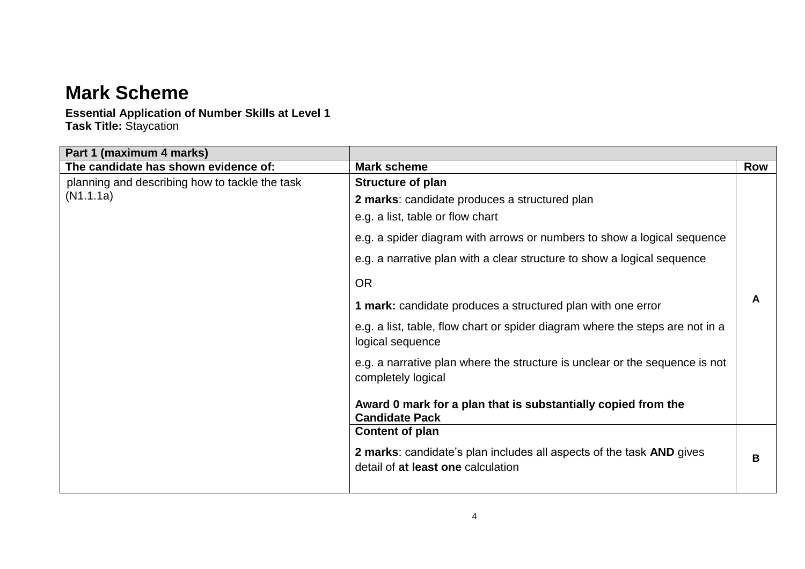## **Mark Scheme**

### **Essential Application of Number Skills at Level 1**

**Task Title:** Staycation

| Part 1 (maximum 4 marks)                       |                                                                                                   |     |
|------------------------------------------------|---------------------------------------------------------------------------------------------------|-----|
| The candidate has shown evidence of:           | <b>Mark scheme</b>                                                                                | Row |
| planning and describing how to tackle the task | <b>Structure of plan</b>                                                                          |     |
| (N1.1.1a)                                      | 2 marks: candidate produces a structured plan                                                     |     |
|                                                | e.g. a list, table or flow chart                                                                  |     |
|                                                | e.g. a spider diagram with arrows or numbers to show a logical sequence                           |     |
|                                                | e.g. a narrative plan with a clear structure to show a logical sequence                           |     |
|                                                | <b>OR</b>                                                                                         |     |
|                                                | 1 mark: candidate produces a structured plan with one error                                       | A   |
|                                                | e.g. a list, table, flow chart or spider diagram where the steps are not in a<br>logical sequence |     |
|                                                | e.g. a narrative plan where the structure is unclear or the sequence is not<br>completely logical |     |
|                                                | Award 0 mark for a plan that is substantially copied from the<br><b>Candidate Pack</b>            |     |
|                                                | Content of plan                                                                                   |     |
|                                                | 2 marks: candidate's plan includes all aspects of the task AND gives                              |     |
|                                                | detail of at least one calculation                                                                | B   |
|                                                |                                                                                                   |     |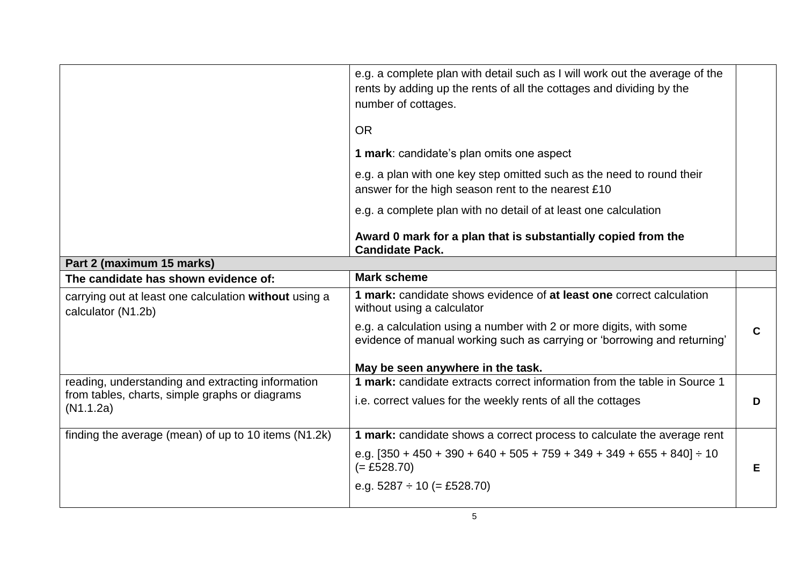|                                                                             | e.g. a complete plan with detail such as I will work out the average of the<br>rents by adding up the rents of all the cottages and dividing by the<br>number of cottages. |   |
|-----------------------------------------------------------------------------|----------------------------------------------------------------------------------------------------------------------------------------------------------------------------|---|
|                                                                             | <b>OR</b>                                                                                                                                                                  |   |
|                                                                             | <b>1 mark:</b> candidate's plan omits one aspect                                                                                                                           |   |
|                                                                             | e.g. a plan with one key step omitted such as the need to round their<br>answer for the high season rent to the nearest £10                                                |   |
|                                                                             | e.g. a complete plan with no detail of at least one calculation                                                                                                            |   |
|                                                                             | Award 0 mark for a plan that is substantially copied from the<br><b>Candidate Pack.</b>                                                                                    |   |
| Part 2 (maximum 15 marks)                                                   |                                                                                                                                                                            |   |
| The candidate has shown evidence of:                                        | <b>Mark scheme</b>                                                                                                                                                         |   |
| carrying out at least one calculation without using a<br>calculator (N1.2b) | 1 mark: candidate shows evidence of at least one correct calculation<br>without using a calculator                                                                         |   |
|                                                                             | e.g. a calculation using a number with 2 or more digits, with some<br>evidence of manual working such as carrying or 'borrowing and returning'                             | C |
|                                                                             | May be seen anywhere in the task.                                                                                                                                          |   |
| reading, understanding and extracting information                           | 1 mark: candidate extracts correct information from the table in Source 1                                                                                                  |   |
| from tables, charts, simple graphs or diagrams<br>(N1.1.2a)                 | i.e. correct values for the weekly rents of all the cottages                                                                                                               | D |
| finding the average (mean) of up to 10 items (N1.2k)                        | 1 mark: candidate shows a correct process to calculate the average rent                                                                                                    |   |
|                                                                             | e.g. $[350 + 450 + 390 + 640 + 505 + 759 + 349 + 349 + 655 + 840] \div 10$<br>$(= £528.70)$                                                                                | Е |
|                                                                             | e.g. $5287 \div 10$ (= £528.70)                                                                                                                                            |   |
|                                                                             |                                                                                                                                                                            |   |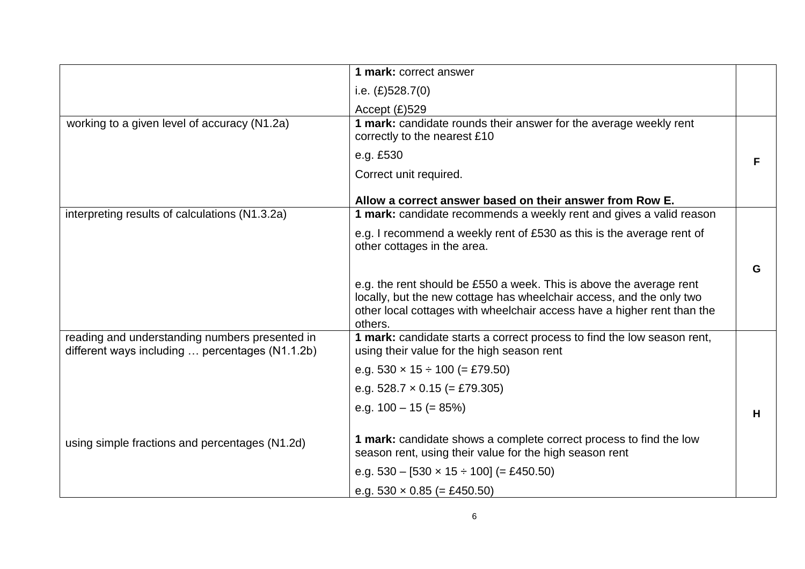|                                                                                                   | 1 mark: correct answer                                                                                                                                                                                                            |   |
|---------------------------------------------------------------------------------------------------|-----------------------------------------------------------------------------------------------------------------------------------------------------------------------------------------------------------------------------------|---|
|                                                                                                   | i.e. $(E)$ 528.7(0)                                                                                                                                                                                                               |   |
|                                                                                                   | Accept $(E)$ 529                                                                                                                                                                                                                  |   |
| working to a given level of accuracy (N1.2a)                                                      | 1 mark: candidate rounds their answer for the average weekly rent<br>correctly to the nearest £10                                                                                                                                 |   |
|                                                                                                   | e.g. £530                                                                                                                                                                                                                         | F |
|                                                                                                   | Correct unit required.                                                                                                                                                                                                            |   |
|                                                                                                   | Allow a correct answer based on their answer from Row E.                                                                                                                                                                          |   |
| interpreting results of calculations (N1.3.2a)                                                    | 1 mark: candidate recommends a weekly rent and gives a valid reason                                                                                                                                                               |   |
|                                                                                                   | e.g. I recommend a weekly rent of £530 as this is the average rent of<br>other cottages in the area.                                                                                                                              |   |
|                                                                                                   |                                                                                                                                                                                                                                   | G |
|                                                                                                   | e.g. the rent should be £550 a week. This is above the average rent<br>locally, but the new cottage has wheelchair access, and the only two<br>other local cottages with wheelchair access have a higher rent than the<br>others. |   |
| reading and understanding numbers presented in<br>different ways including  percentages (N1.1.2b) | 1 mark: candidate starts a correct process to find the low season rent,<br>using their value for the high season rent                                                                                                             |   |
|                                                                                                   | e.g. $530 \times 15 \div 100$ (= £79.50)                                                                                                                                                                                          |   |
|                                                                                                   | e.g. $528.7 \times 0.15$ (= £79.305)                                                                                                                                                                                              |   |
|                                                                                                   | e.g. $100 - 15 (= 85%)$                                                                                                                                                                                                           | H |
| using simple fractions and percentages (N1.2d)                                                    | 1 mark: candidate shows a complete correct process to find the low<br>season rent, using their value for the high season rent                                                                                                     |   |
|                                                                                                   | e.g. $530 - [530 \times 15 \div 100] (= \text{\pounds}450.50)$                                                                                                                                                                    |   |
|                                                                                                   | e.g. $530 \times 0.85$ (= £450.50)                                                                                                                                                                                                |   |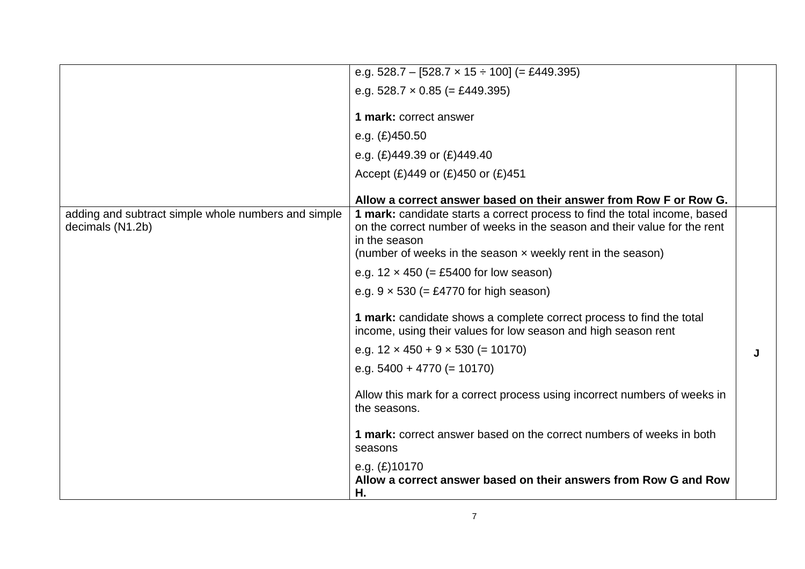|                                                                         | e.g. $528.7 - [528.7 \times 15 \div 100] (= \text{\pounds}449.395)$                                                                                                                                                                       |   |
|-------------------------------------------------------------------------|-------------------------------------------------------------------------------------------------------------------------------------------------------------------------------------------------------------------------------------------|---|
|                                                                         | e.g. $528.7 \times 0.85$ (= £449.395)                                                                                                                                                                                                     |   |
|                                                                         | 1 mark: correct answer                                                                                                                                                                                                                    |   |
|                                                                         | e.g. $(E)450.50$                                                                                                                                                                                                                          |   |
|                                                                         | e.g. $(E)$ 449.39 or $(E)$ 449.40                                                                                                                                                                                                         |   |
|                                                                         | Accept $(E)$ 449 or $(E)$ 450 or $(E)$ 451                                                                                                                                                                                                |   |
|                                                                         | Allow a correct answer based on their answer from Row F or Row G.                                                                                                                                                                         |   |
| adding and subtract simple whole numbers and simple<br>decimals (N1.2b) | 1 mark: candidate starts a correct process to find the total income, based<br>on the correct number of weeks in the season and their value for the rent<br>in the season<br>(number of weeks in the season $x$ weekly rent in the season) |   |
|                                                                         | e.g. $12 \times 450$ (= £5400 for low season)                                                                                                                                                                                             |   |
|                                                                         | e.g. $9 \times 530$ (= £4770 for high season)                                                                                                                                                                                             |   |
|                                                                         | 1 mark: candidate shows a complete correct process to find the total<br>income, using their values for low season and high season rent                                                                                                    |   |
|                                                                         | e.g. $12 \times 450 + 9 \times 530$ (= 10170)                                                                                                                                                                                             | J |
|                                                                         | e.g. $5400 + 4770 (= 10170)$                                                                                                                                                                                                              |   |
|                                                                         | Allow this mark for a correct process using incorrect numbers of weeks in<br>the seasons.                                                                                                                                                 |   |
|                                                                         | 1 mark: correct answer based on the correct numbers of weeks in both<br>seasons                                                                                                                                                           |   |
|                                                                         | e.g. $(E)$ 10170<br>Allow a correct answer based on their answers from Row G and Row<br>Η.                                                                                                                                                |   |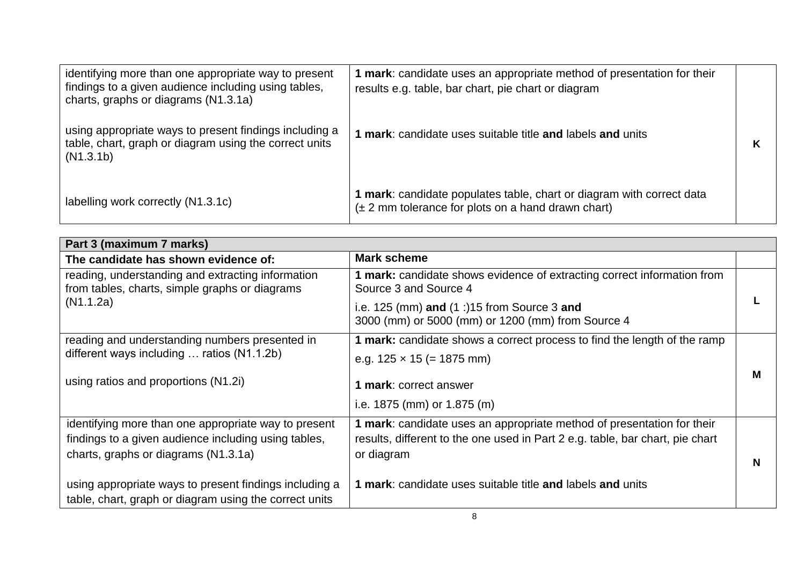| identifying more than one appropriate way to present<br>findings to a given audience including using tables,<br>charts, graphs or diagrams (N1.3.1a) | 1 mark: candidate uses an appropriate method of presentation for their<br>results e.g. table, bar chart, pie chart or diagram           |  |
|------------------------------------------------------------------------------------------------------------------------------------------------------|-----------------------------------------------------------------------------------------------------------------------------------------|--|
| using appropriate ways to present findings including a<br>table, chart, graph or diagram using the correct units<br>(N1.3.1b)                        | <b>1 mark:</b> candidate uses suitable title and labels and units                                                                       |  |
| labelling work correctly (N1.3.1c)                                                                                                                   | 1 mark: candidate populates table, chart or diagram with correct data<br>$(\pm 2 \text{ mm}$ tolerance for plots on a hand drawn chart) |  |

| Part 3 (maximum 7 marks)                                                                                                                             |                                                                                                                                                                       |   |
|------------------------------------------------------------------------------------------------------------------------------------------------------|-----------------------------------------------------------------------------------------------------------------------------------------------------------------------|---|
| The candidate has shown evidence of:                                                                                                                 | <b>Mark scheme</b>                                                                                                                                                    |   |
| reading, understanding and extracting information<br>from tables, charts, simple graphs or diagrams                                                  | 1 mark: candidate shows evidence of extracting correct information from<br>Source 3 and Source 4                                                                      |   |
| (N1.1.2a)                                                                                                                                            | i.e. 125 (mm) and $(1:)15$ from Source 3 and<br>3000 (mm) or 5000 (mm) or 1200 (mm) from Source 4                                                                     |   |
| reading and understanding numbers presented in                                                                                                       | 1 mark: candidate shows a correct process to find the length of the ramp                                                                                              |   |
| different ways including  ratios (N1.1.2b)                                                                                                           | e.g. $125 \times 15 (= 1875 \text{ mm})$                                                                                                                              |   |
| using ratios and proportions (N1.2i)                                                                                                                 | 1 mark: correct answer                                                                                                                                                | М |
|                                                                                                                                                      | i.e. $1875$ (mm) or $1.875$ (m)                                                                                                                                       |   |
| identifying more than one appropriate way to present<br>findings to a given audience including using tables,<br>charts, graphs or diagrams (N1.3.1a) | 1 mark: candidate uses an appropriate method of presentation for their<br>results, different to the one used in Part 2 e.g. table, bar chart, pie chart<br>or diagram | N |
| using appropriate ways to present findings including a<br>table, chart, graph or diagram using the correct units                                     | 1 mark: candidate uses suitable title and labels and units                                                                                                            |   |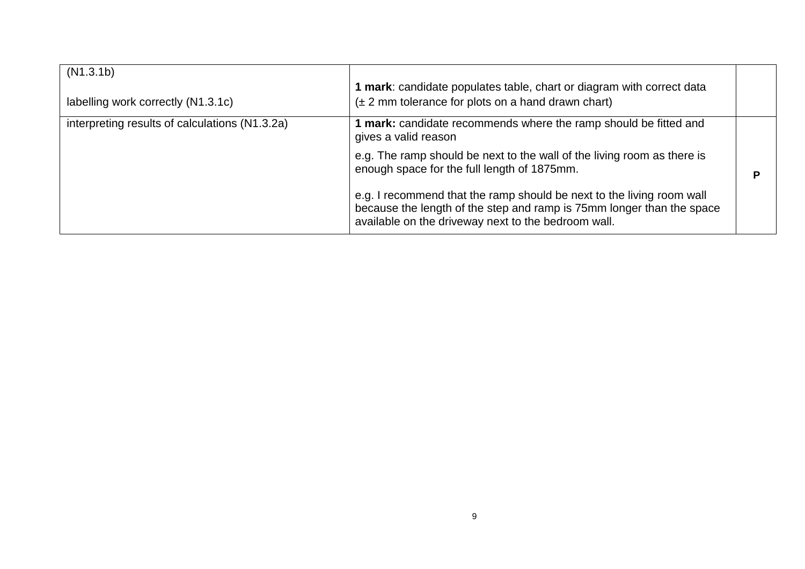| (N1.3.1b)<br>labelling work correctly (N1.3.1c) | 1 mark: candidate populates table, chart or diagram with correct data<br>$(\pm 2 \text{ mm}$ tolerance for plots on a hand drawn chart)                                                                                                                                                     |   |
|-------------------------------------------------|---------------------------------------------------------------------------------------------------------------------------------------------------------------------------------------------------------------------------------------------------------------------------------------------|---|
| interpreting results of calculations (N1.3.2a)  | 1 mark: candidate recommends where the ramp should be fitted and<br>gives a valid reason<br>e.g. The ramp should be next to the wall of the living room as there is<br>enough space for the full length of 1875mm.<br>e.g. I recommend that the ramp should be next to the living room wall | Р |
|                                                 | because the length of the step and ramp is 75mm longer than the space<br>available on the driveway next to the bedroom wall.                                                                                                                                                                |   |